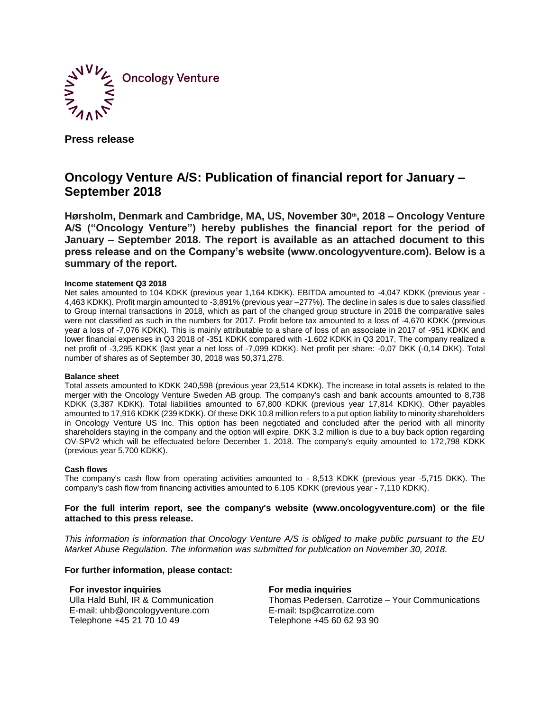

**Press release**

# **Oncology Venture A/S: Publication of financial report for January – September 2018**

**Hørsholm, Denmark and Cambridge, MA, US, November 30th, 2018 – Oncology Venture A/S ("Oncology Venture") hereby publishes the financial report for the period of January – September 2018. The report is available as an attached document to this press release and on the Company's website (www.oncologyventure.com). Below is a summary of the report.**

## **Income statement Q3 2018**

Net sales amounted to 104 KDKK (previous year 1,164 KDKK). EBITDA amounted to -4,047 KDKK (previous year - 4,463 KDKK). Profit margin amounted to -3,891% (previous year –277%). The decline in sales is due to sales classified to Group internal transactions in 2018, which as part of the changed group structure in 2018 the comparative sales were not classified as such in the numbers for 2017. Profit before tax amounted to a loss of -4,670 KDKK (previous year a loss of -7,076 KDKK). This is mainly attributable to a share of loss of an associate in 2017 of -951 KDKK and lower financial expenses in Q3 2018 of -351 KDKK compared with -1.602 KDKK in Q3 2017. The company realized a net profit of -3,295 KDKK (last year a net loss of -7,099 KDKK). Net profit per share: -0,07 DKK (-0,14 DKK). Total number of shares as of September 30, 2018 was 50,371,278.

### **Balance sheet**

Total assets amounted to KDKK 240,598 (previous year 23,514 KDKK). The increase in total assets is related to the merger with the Oncology Venture Sweden AB group. The company's cash and bank accounts amounted to 8,738 KDKK (3,387 KDKK). Total liabilities amounted to 67,800 KDKK (previous year 17,814 KDKK). Other payables amounted to 17,916 KDKK (239 KDKK). Of these DKK 10.8 million refers to a put option liability to minority shareholders in Oncology Venture US Inc. This option has been negotiated and concluded after the period with all minority shareholders staying in the company and the option will expire. DKK 3.2 million is due to a buy back option regarding OV-SPV2 which will be effectuated before December 1. 2018. The company's equity amounted to 172,798 KDKK (previous year 5,700 KDKK).

### **Cash flows**

The company's cash flow from operating activities amounted to - 8,513 KDKK (previous year -5,715 DKK). The company's cash flow from financing activities amounted to 6,105 KDKK (previous year - 7,110 KDKK).

# **For the full interim report, see the company's website (www.oncologyventure.com) or the file attached to this press release.**

*This information is information that Oncology Venture A/S is obliged to make public pursuant to the EU Market Abuse Regulation. The information was submitted for publication on November 30, 2018.*

# **For further information, please contact:**

**For investor inquiries**  Ulla Hald Buhl, IR & Communication E-mail: uhb@oncologyventure.com Telephone +45 21 70 10 49

**For media inquiries** 

Thomas Pedersen, Carrotize – Your Communications E-mail: tsp@carrotize.com Telephone +45 60 62 93 90